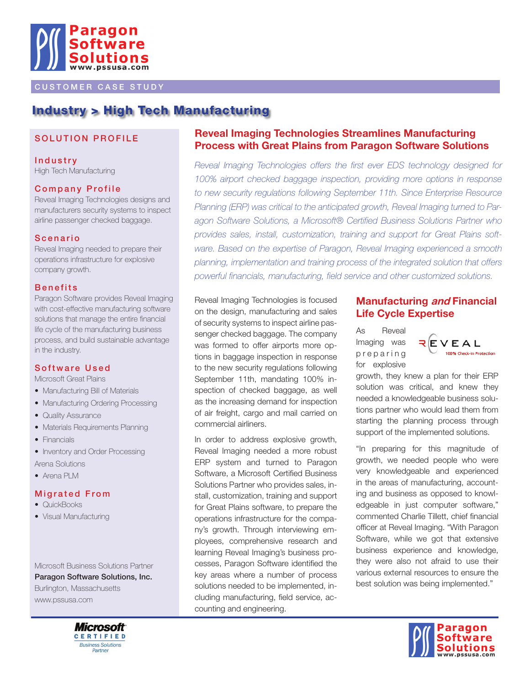

### **CUSTOMER CASE STUDY**

# Industry > High Tech Manufacturing

### SOLUTION PROFILE

**Industry** High Tech Manufacturing

#### **Company Profile**

Reveal Imaging Technologies designs and manufacturers security systems to inspect airline passenger checked baggage.

#### **Scenario**

Reveal Imaging needed to prepare their operations infrastructure for explosive company growth.

#### **Benefits**

Paragon Software provides Reveal Imaging with cost-effective manufacturing software solutions that manage the entire financial life cycle of the manufacturing business process, and build sustainable advantage in the industry.

#### Software Used

Microsoft Great Plains

- Manufacturing Bill of Materials
- Manufacturing Ordering Processing
- Quality Assurance
- Materials Requirements Planning
- Financials
- Inventory and Order Processing Arena Solutions
- Arena PLM

#### **Migrated From**

- QuickBooks
- Visual Manufacturing

Microsoft Business Solutions Partner

Paragon Software Solutions, Inc. Burlington, Massachusetts www.pssusa.com



## **Reveal Imaging Technologies Streamlines Manufacturing Process with Great Plains from Paragon Software Solutions**

*Reveal Imaging Technologies offers the first ever EDS technology designed for 100% airport checked baggage inspection, providing more options in response to new security regulations following September 11th. Since Enterprise Resource Planning (ERP) was critical to the anticipated growth, Reveal Imaging turned to Paragon Software Solutions, a Microsoft® Certified Business Solutions Partner who provides sales, install, customization, training and support for Great Plains software. Based on the expertise of Paragon, Reveal Imaging experienced a smooth planning, implementation and training process of the integrated solution that offers powerful financials, manufacturing, field service and other customized solutions.*

Reveal Imaging Technologies is focused on the design, manufacturing and sales of security systems to inspect airline passenger checked baggage. The company was formed to offer airports more options in baggage inspection in response to the new security regulations following September 11th, mandating 100% inspection of checked baggage, as well as the increasing demand for inspection of air freight, cargo and mail carried on commercial airliners.

In order to address explosive growth, Reveal Imaging needed a more robust ERP system and turned to Paragon Software, a Microsoft Certified Business Solutions Partner who provides sales, install, customization, training and support for Great Plains software, to prepare the operations infrastructure for the company's growth. Through interviewing employees, comprehensive research and learning Reveal Imaging's business processes, Paragon Software identified the key areas where a number of process solutions needed to be implemented, including manufacturing, field service, accounting and engineering.

### **Manufacturing and Financial Life Cycle Expertise**

As Reveal Imaging was p r e p a r i n g for explosive



growth, they knew a plan for their ERP solution was critical, and knew they needed a knowledgeable business solutions partner who would lead them from starting the planning process through support of the implemented solutions.

"In preparing for this magnitude of growth, we needed people who were very knowledgeable and experienced in the areas of manufacturing, accounting and business as opposed to knowledgeable in just computer software," commented Charlie Tillett, chief financial officer at Reveal Imaging. "With Paragon Software, while we got that extensive business experience and knowledge, they were also not afraid to use their various external resources to ensure the best solution was being implemented."